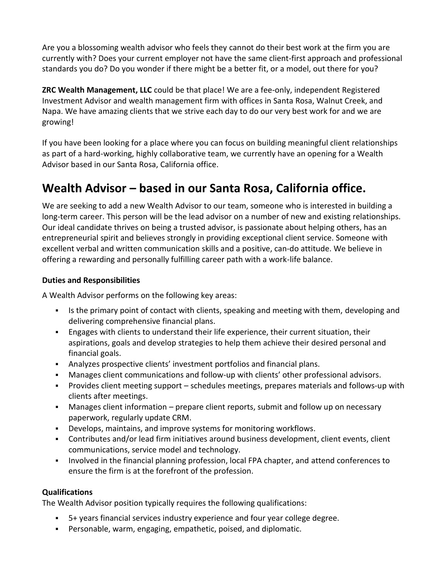Are you a blossoming wealth advisor who feels they cannot do their best work at the firm you are currently with? Does your current employer not have the same client-first approach and professional standards you do? Do you wonder if there might be a better fit, or a model, out there for you?

**ZRC Wealth Management, LLC** could be that place! We are a fee-only, independent Registered Investment Advisor and wealth management firm with offices in Santa Rosa, Walnut Creek, and Napa. We have amazing clients that we strive each day to do our very best work for and we are growing!

If you have been looking for a place where you can focus on building meaningful client relationships as part of a hard-working, highly collaborative team, we currently have an opening for a Wealth Advisor based in our Santa Rosa, California office.

## **Wealth Advisor – based in our Santa Rosa, California office.**

We are seeking to add a new Wealth Advisor to our team, someone who is interested in building a long-term career. This person will be the lead advisor on a number of new and existing relationships. Our ideal candidate thrives on being a trusted advisor, is passionate about helping others, has an entrepreneurial spirit and believes strongly in providing exceptional client service. Someone with excellent verbal and written communication skills and a positive, can‐do attitude. We believe in offering a rewarding and personally fulfilling career path with a work-life balance.

#### **Duties and Responsibilities**

A Wealth Advisor performs on the following key areas:

- If Its the primary point of contact with clients, speaking and meeting with them, developing and delivering comprehensive financial plans.
- Engages with clients to understand their life experience, their current situation, their aspirations, goals and develop strategies to help them achieve their desired personal and financial goals.
- Analyzes prospective clients' investment portfolios and financial plans.
- Manages client communications and follow-up with clients' other professional advisors.
- Provides client meeting support schedules meetings, prepares materials and follows-up with clients after meetings.
- Manages client information prepare client reports, submit and follow up on necessary paperwork, regularly update CRM.
- Develops, maintains, and improve systems for monitoring workflows.
- Contributes and/or lead firm initiatives around business development, client events, client communications, service model and technology.
- Involved in the financial planning profession, local FPA chapter, and attend conferences to ensure the firm is at the forefront of the profession.

#### **Qualifications**

The Wealth Advisor position typically requires the following qualifications:

- 5+ years financial services industry experience and four year college degree.
- Personable, warm, engaging, empathetic, poised, and diplomatic.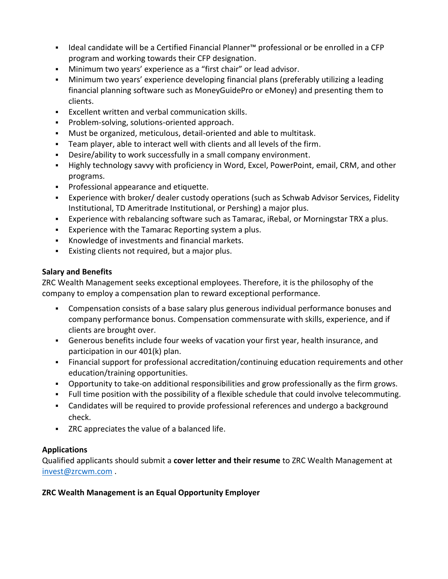- Ideal candidate will be a Certified Financial Planner™ professional or be enrolled in a CFP program and working towards their CFP designation.
- Minimum two years' experience as a "first chair" or lead advisor.
- Minimum two years' experience developing financial plans (preferably utilizing a leading financial planning software such as MoneyGuidePro or eMoney) and presenting them to clients.
- Excellent written and verbal communication skills.
- **Problem-solving, solutions-oriented approach.**
- Must be organized, meticulous, detail-oriented and able to multitask.
- Team player, able to interact well with clients and all levels of the firm.
- Desire/ability to work successfully in a small company environment.
- Highly technology savvy with proficiency in Word, Excel, PowerPoint, email, CRM, and other programs.
- **Professional appearance and etiquette.**
- Experience with broker/ dealer custody operations (such as Schwab Advisor Services, Fidelity Institutional, TD Ameritrade Institutional, or Pershing) a major plus.
- Experience with rebalancing software such as Tamarac, iRebal, or Morningstar TRX a plus.
- Experience with the Tamarac Reporting system a plus.
- Knowledge of investments and financial markets.
- Existing clients not required, but a major plus.

### **Salary and Benefits**

ZRC Wealth Management seeks exceptional employees. Therefore, it is the philosophy of the company to employ a compensation plan to reward exceptional performance.

- Compensation consists of a base salary plus generous individual performance bonuses and company performance bonus. Compensation commensurate with skills, experience, and if clients are brought over.
- Generous benefits include four weeks of vacation your first year, health insurance, and participation in our 401(k) plan.
- Financial support for professional accreditation/continuing education requirements and other education/training opportunities.
- Opportunity to take-on additional responsibilities and grow professionally as the firm grows.
- Full time position with the possibility of a flexible schedule that could involve telecommuting.
- Candidates will be required to provide professional references and undergo a background check.
- ZRC appreciates the value of a balanced life.

#### **Applications**

Qualified applicants should submit a **cover letter and their resume** to ZRC Wealth Management at [invest@zrcwm.com](mailto:invest@zrcwm.com) .

#### **ZRC Wealth Management is an Equal Opportunity Employer**